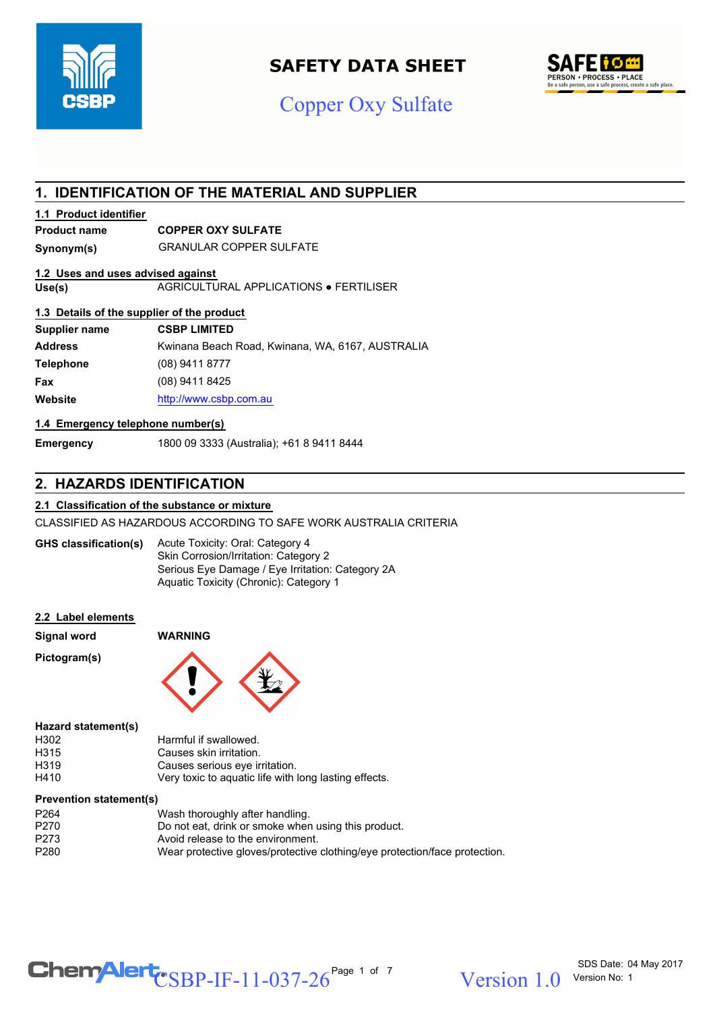

## **SAFETY DATA SHEET**

## Copper Oxy Sulfate



## **1. IDENTIFICATION OF THE MATERIAL AND SUPPLIER**

#### **1.1 Product identifier**

## **Product name COPPER OXY SULFATE**

**Synonym(s)** GRANULAR COPPER SULFATE

#### **1.2 Uses and uses advised against**

**Use(s)** AGRICULTURAL APPLICATIONS ● FERTILISER

#### **1.3 Details of the supplier of the product**

| Supplier name    | <b>CSBP LIMITED</b>                              |
|------------------|--------------------------------------------------|
| <b>Address</b>   | Kwinana Beach Road, Kwinana, WA, 6167, AUSTRALIA |
| <b>Telephone</b> | (08) 9411 8777                                   |
| Fax              | (08) 9411 8425                                   |
| Website          | http://www.csbp.com.au                           |

#### **1.4 Emergency telephone number(s)**

**Emergency** 1800 09 3333 (Australia); +61 8 9411 8444

## **2. HAZARDS IDENTIFICATION**

#### **2.1 Classification of the substance or mixture**

CLASSIFIED AS HAZARDOUS ACCORDING TO SAFE WORK AUSTRALIA CRITERIA

Acute Toxicity: Oral: Category 4 Skin Corrosion/Irritation: Category 2 Serious Eye Damage / Eye Irritation: Category 2A Aquatic Toxicity (Chronic): Category 1 **GHS classification(s)**

#### **2.2 Label elements**

| <b>Signal word</b> |
|--------------------|
|--------------------|

**Signal word WARNING**





#### **Hazard statement(s)**

| H302 | Harmful if swallowed.                                 |
|------|-------------------------------------------------------|
| H315 | Causes skin irritation.                               |
| H319 | Causes serious eve irritation.                        |
| H410 | Very toxic to aquatic life with long lasting effects. |

#### **Prevention statement(s)**

| P <sub>264</sub> | Wash thoroughly after handling.                                            |
|------------------|----------------------------------------------------------------------------|
| P <sub>270</sub> | Do not eat, drink or smoke when using this product.                        |
| P <sub>273</sub> | Avoid release to the environment.                                          |
| P <sub>280</sub> | Wear protective gloves/protective clothing/eye protection/face protection. |

# $\text{CSBP-IF-11-037-26}^{\text{Page 1 of 7}}$  Version 1.0

Version 1.0 Version No: 1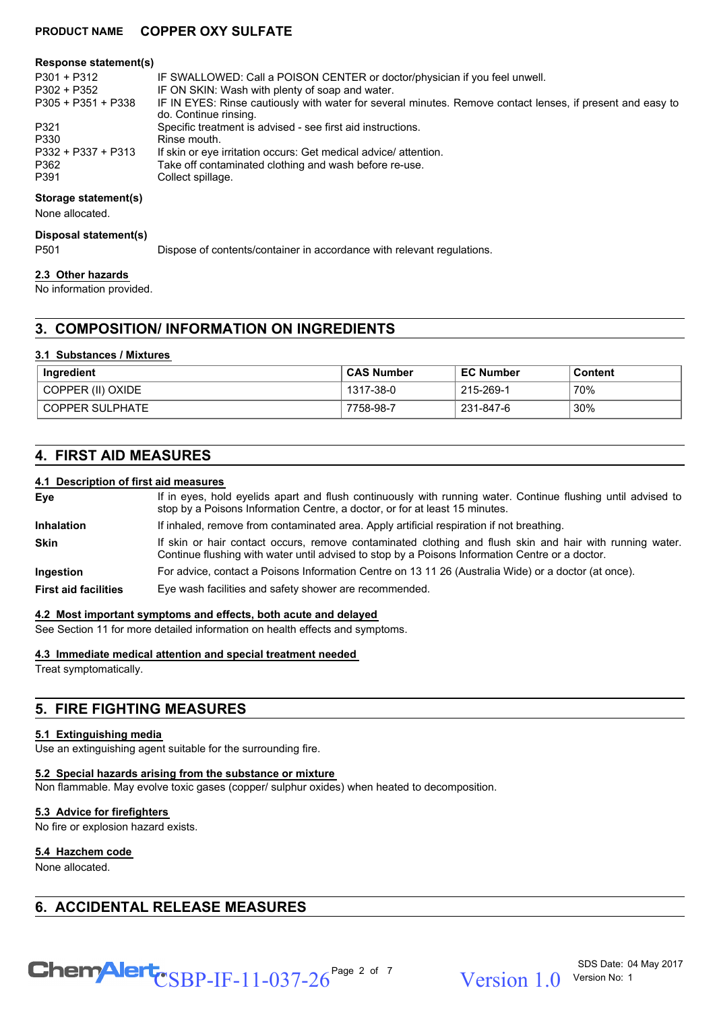#### **Response statement(s)**

| P301 + P312          | IF SWALLOWED: Call a POISON CENTER or doctor/physician if you feel unwell.                                                          |
|----------------------|-------------------------------------------------------------------------------------------------------------------------------------|
| $P302 + P352$        | IF ON SKIN: Wash with plenty of soap and water.                                                                                     |
| $P305 + P351 + P338$ | IF IN EYES: Rinse cautiously with water for several minutes. Remove contact lenses, if present and easy to<br>do. Continue rinsing. |
| P321                 | Specific treatment is advised - see first aid instructions.                                                                         |
| P330                 | Rinse mouth.                                                                                                                        |
| P332 + P337 + P313   | If skin or eye irritation occurs: Get medical advice/attention.                                                                     |
| P362                 | Take off contaminated clothing and wash before re-use.                                                                              |
| P391                 | Collect spillage.                                                                                                                   |
|                      |                                                                                                                                     |

#### **Storage statement(s)**

None allocated.

#### **Disposal statement(s)**

P501 Dispose of contents/container in accordance with relevant regulations.

#### **2.3 Other hazards**

No information provided.

## **3. COMPOSITION/ INFORMATION ON INGREDIENTS**

#### **3.1 Substances / Mixtures**

| Ingredient        | <b>CAS Number</b> | <b>EC Number</b> | Content |
|-------------------|-------------------|------------------|---------|
| COPPER (II) OXIDE | 1317-38-0         | 215-269-1        | 70%     |
| COPPER SULPHATE   | 7758-98-7         | 231-847-6        | 30%     |

## **4. FIRST AID MEASURES**

#### **4.1 Description of first aid measures**

| Eye                         | If in eyes, hold eyelids apart and flush continuously with running water. Continue flushing until advised to<br>stop by a Poisons Information Centre, a doctor, or for at least 15 minutes.                 |
|-----------------------------|-------------------------------------------------------------------------------------------------------------------------------------------------------------------------------------------------------------|
| <b>Inhalation</b>           | If inhaled, remove from contaminated area. Apply artificial respiration if not breathing.                                                                                                                   |
| <b>Skin</b>                 | If skin or hair contact occurs, remove contaminated clothing and flush skin and hair with running water.<br>Continue flushing with water until advised to stop by a Poisons Information Centre or a doctor. |
| <b>Ingestion</b>            | For advice, contact a Poisons Information Centre on 13 11 26 (Australia Wide) or a doctor (at once).                                                                                                        |
| <b>First aid facilities</b> | Eye wash facilities and safety shower are recommended.                                                                                                                                                      |

#### **4.2 Most important symptoms and effects, both acute and delayed**

See Section 11 for more detailed information on health effects and symptoms.

**4.3 Immediate medical attention and special treatment needed**

Treat symptomatically.

## **5. FIRE FIGHTING MEASURES**

#### **5.1 Extinguishing media**

Use an extinguishing agent suitable for the surrounding fire.

#### **5.2 Special hazards arising from the substance or mixture**

Non flammable. May evolve toxic gases (copper/ sulphur oxides) when heated to decomposition.

#### **5.3 Advice for firefighters**

No fire or explosion hazard exists.

#### **5.4 Hazchem code**

None allocated.

## **6. ACCIDENTAL RELEASE MEASURES**

 $\text{CSBP-IF-11-037-26}^{\text{Page 2 of 7}}$  Version 1.0

Version 1 0 Version No: 1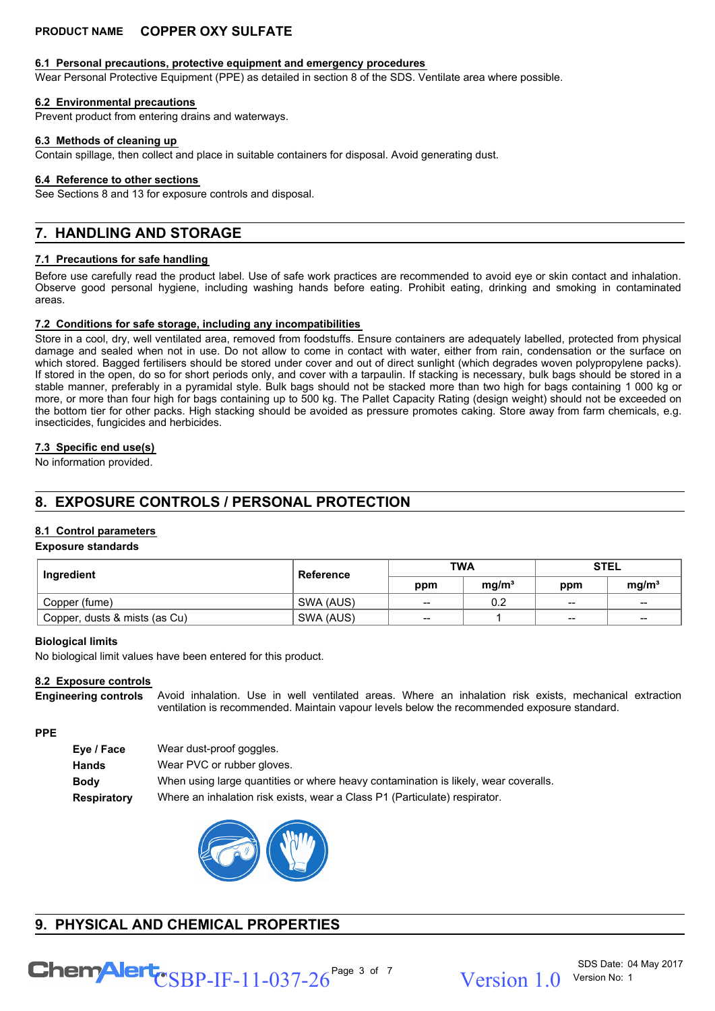#### **6.1 Personal precautions, protective equipment and emergency procedures**

Wear Personal Protective Equipment (PPE) as detailed in section 8 of the SDS. Ventilate area where possible.

#### **6.2 Environmental precautions**

Prevent product from entering drains and waterways.

#### **6.3 Methods of cleaning up**

Contain spillage, then collect and place in suitable containers for disposal. Avoid generating dust.

#### **6.4 Reference to other sections**

See Sections 8 and 13 for exposure controls and disposal.

## **7. HANDLING AND STORAGE**

#### **7.1 Precautions for safe handling**

Before use carefully read the product label. Use of safe work practices are recommended to avoid eye or skin contact and inhalation. Observe good personal hygiene, including washing hands before eating. Prohibit eating, drinking and smoking in contaminated areas.

#### **7.2 Conditions for safe storage, including any incompatibilities**

Store in a cool, dry, well ventilated area, removed from foodstuffs. Ensure containers are adequately labelled, protected from physical damage and sealed when not in use. Do not allow to come in contact with water, either from rain, condensation or the surface on which stored. Bagged fertilisers should be stored under cover and out of direct sunlight (which degrades woven polypropylene packs). If stored in the open, do so for short periods only, and cover with a tarpaulin. If stacking is necessary, bulk bags should be stored in a stable manner, preferably in a pyramidal style. Bulk bags should not be stacked more than two high for bags containing 1 000 kg or more, or more than four high for bags containing up to 500 kg. The Pallet Capacity Rating (design weight) should not be exceeded on the bottom tier for other packs. High stacking should be avoided as pressure promotes caking. Store away from farm chemicals, e.g. insecticides, fungicides and herbicides.

#### **7.3 Specific end use(s)**

No information provided.

## **8. EXPOSURE CONTROLS / PERSONAL PROTECTION**

## **8.1 Control parameters**

#### **Exposure standards**

| Ingredient                    | Reference | <b>TWA</b> |                   | <b>STEL</b>         |                   |
|-------------------------------|-----------|------------|-------------------|---------------------|-------------------|
|                               |           | ppm        | mq/m <sup>3</sup> | ppm                 | mq/m <sup>3</sup> |
| Copper (fume)                 | SWA (AUS) | --         | 0.2               | $\hspace{0.05cm}$ – | $- -$             |
| Copper, dusts & mists (as Cu) | SWA (AUS) | --         |                   | $\hspace{0.05cm}$ – | $- -$             |

#### **Biological limits**

No biological limit values have been entered for this product.

#### **8.2 Exposure controls**

Avoid inhalation. Use in well ventilated areas. Where an inhalation risk exists, mechanical extraction ventilation is recommended. Maintain vapour levels below the recommended exposure standard. **Engineering controls**

#### **PPE**

| Eye / Face         | Wear dust-proof goggles.                                                            |
|--------------------|-------------------------------------------------------------------------------------|
| <b>Hands</b>       | Wear PVC or rubber gloves.                                                          |
| <b>Body</b>        | When using large quantities or where heavy contamination is likely, wear coveralls. |
| <b>Respiratory</b> | Where an inhalation risk exists, wear a Class P1 (Particulate) respirator.          |



## **9. PHYSICAL AND CHEMICAL PROPERTIES**

Page 3 of 7 Chem $\sqrt{\text{Mer}}_{\text{CSBP-IF-11-037-26}}^{\text{Page 3 of 7}}$  Version 1.0

SDS Date: 04 May 2017 Version No: 1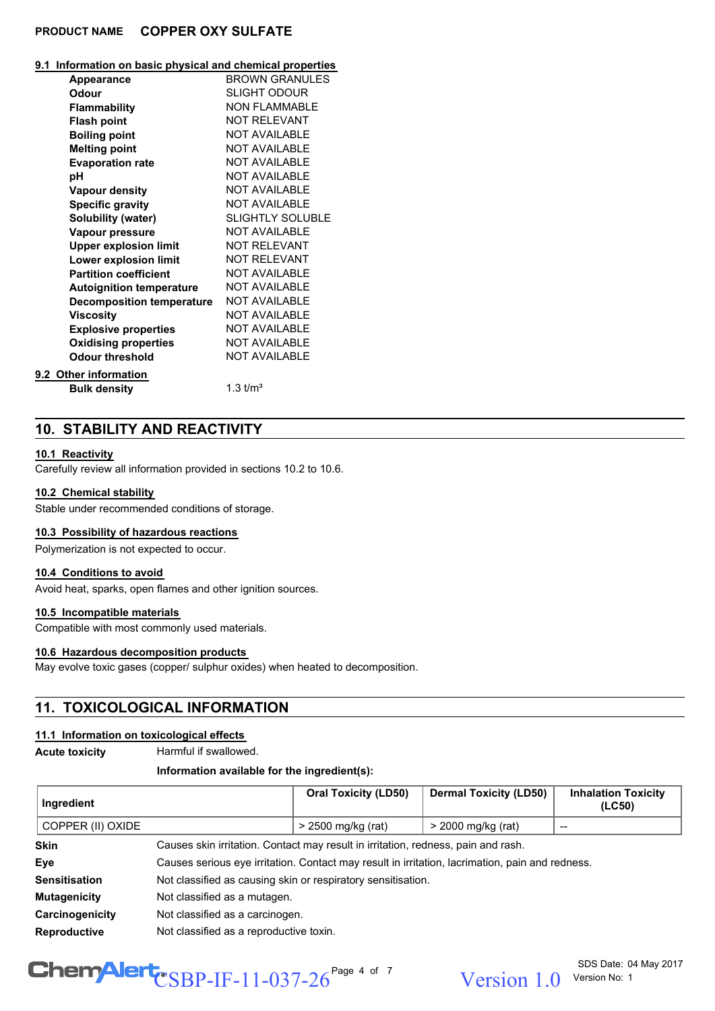#### **9.1 Information on basic physical and chemical properties**

| <b>Appearance</b>                | <b>BROWN GRANULES</b>   |
|----------------------------------|-------------------------|
| <b>Odour</b>                     | <b>SLIGHT ODOUR</b>     |
| <b>Flammability</b>              | <b>NON FLAMMABLE</b>    |
| <b>Flash point</b>               | <b>NOT RELEVANT</b>     |
| <b>Boiling point</b>             | <b>NOT AVAILABLE</b>    |
| <b>Melting point</b>             | <b>NOT AVAILABLE</b>    |
| <b>Evaporation rate</b>          | <b>NOT AVAILABLE</b>    |
| рH                               | <b>NOT AVAILABLE</b>    |
| <b>Vapour density</b>            | <b>NOT AVAILABLE</b>    |
| <b>Specific gravity</b>          | <b>NOT AVAILABLE</b>    |
| Solubility (water)               | <b>SLIGHTLY SOLUBLE</b> |
| Vapour pressure                  | <b>NOT AVAILABLE</b>    |
| <b>Upper explosion limit</b>     | <b>NOT RELEVANT</b>     |
| Lower explosion limit            | <b>NOT RELEVANT</b>     |
| <b>Partition coefficient</b>     | <b>NOT AVAILABLE</b>    |
| <b>Autoignition temperature</b>  | <b>NOT AVAILABLE</b>    |
| <b>Decomposition temperature</b> | <b>NOT AVAILABLE</b>    |
| <b>Viscosity</b>                 | <b>NOT AVAILABLE</b>    |
| <b>Explosive properties</b>      | <b>NOT AVAILABLE</b>    |
| <b>Oxidising properties</b>      | <b>NOT AVAILABLE</b>    |
| <b>Odour threshold</b>           | <b>NOT AVAILABLE</b>    |
| 9.2 Other information            |                         |
| <b>Bulk density</b>              | $1.3$ t/m <sup>3</sup>  |

## **10. STABILITY AND REACTIVITY**

#### **10.1 Reactivity**

Carefully review all information provided in sections 10.2 to 10.6.

#### **10.2 Chemical stability**

Stable under recommended conditions of storage.

#### **10.3 Possibility of hazardous reactions**

Polymerization is not expected to occur.

#### **10.4 Conditions to avoid**

Avoid heat, sparks, open flames and other ignition sources.

#### **10.5 Incompatible materials**

Compatible with most commonly used materials.

#### **10.6 Hazardous decomposition products**

May evolve toxic gases (copper/ sulphur oxides) when heated to decomposition.

## **11. TOXICOLOGICAL INFORMATION**

#### **11.1 Information on toxicological effects**

```
Acute toxicity Harmful if swallowed.
```
#### **Information available for the ingredient(s):**

| Ingredient          |                                                                                                 | <b>Oral Toxicity (LD50)</b> | <b>Dermal Toxicity (LD50)</b> | <b>Inhalation Toxicity</b><br>(LC50) |
|---------------------|-------------------------------------------------------------------------------------------------|-----------------------------|-------------------------------|--------------------------------------|
| COPPER (II) OXIDE   |                                                                                                 | $>$ 2500 mg/kg (rat)        | $>$ 2000 mg/kg (rat)          |                                      |
| <b>Skin</b>         | Causes skin irritation. Contact may result in irritation, redness, pain and rash.               |                             |                               |                                      |
| Eye                 | Causes serious eye irritation. Contact may result in irritation, lacrimation, pain and redness. |                             |                               |                                      |
| Sensitisation       | Not classified as causing skin or respiratory sensitisation.                                    |                             |                               |                                      |
| <b>Mutagenicity</b> | Not classified as a mutagen.                                                                    |                             |                               |                                      |
| Carcinogenicity     | Not classified as a carcinogen.                                                                 |                             |                               |                                      |
| Reproductive        | Not classified as a reproductive toxin.                                                         |                             |                               |                                      |

## $\text{CSBP-IF-11-037-26}^{\text{Page 4 of 7}}$  Version 1.0

Version 1.0 Version No: 1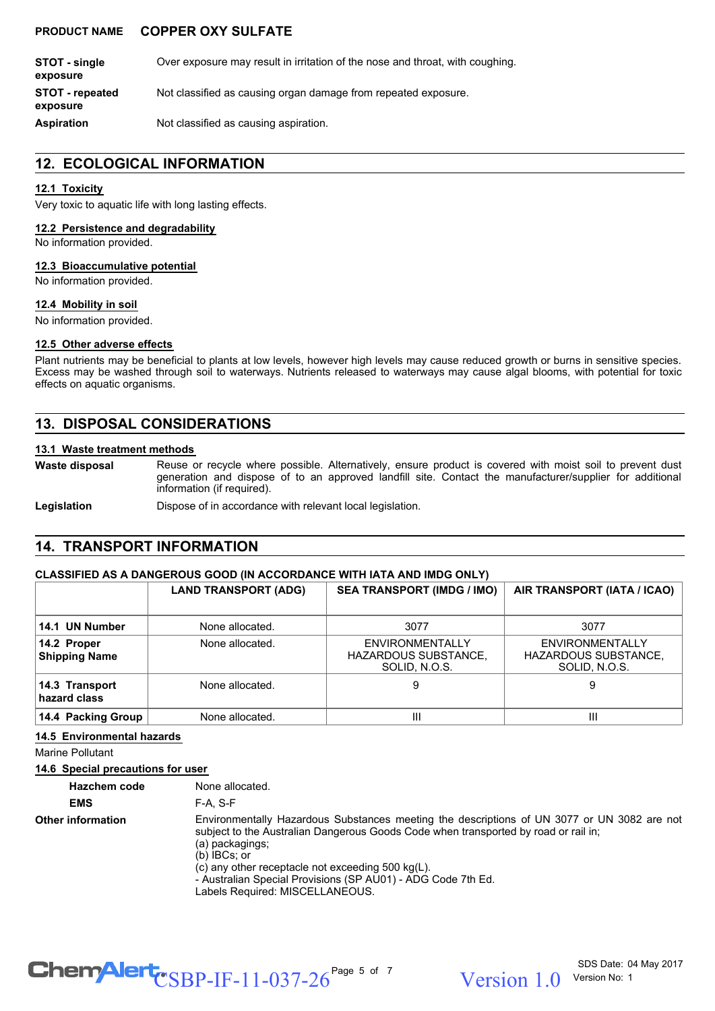| <b>STOT - single</b><br>exposure | Over exposure may result in irritation of the nose and throat, with coughing. |
|----------------------------------|-------------------------------------------------------------------------------|
| STOT - repeated<br>exposure      | Not classified as causing organ damage from repeated exposure.                |
| Aspiration                       | Not classified as causing aspiration.                                         |

## **12. ECOLOGICAL INFORMATION**

#### **12.1 Toxicity**

Very toxic to aquatic life with long lasting effects.

#### **12.2 Persistence and degradability**

No information provided.

#### **12.3 Bioaccumulative potential**

No information provided.

#### **12.4 Mobility in soil**

No information provided.

#### **12.5 Other adverse effects**

Plant nutrients may be beneficial to plants at low levels, however high levels may cause reduced growth or burns in sensitive species. Excess may be washed through soil to waterways. Nutrients released to waterways may cause algal blooms, with potential for toxic effects on aquatic organisms.

## **13. DISPOSAL CONSIDERATIONS**

#### **13.1 Waste treatment methods**

Reuse or recycle where possible. Alternatively, ensure product is covered with moist soil to prevent dust generation and dispose of to an approved landfill site. Contact the manufacturer/supplier for additional information (if required). **Waste disposal**

**Legislation** Dispose of in accordance with relevant local legislation.

## **14. TRANSPORT INFORMATION**

#### **CLASSIFIED AS A DANGEROUS GOOD (IN ACCORDANCE WITH IATA AND IMDG ONLY)**

|                                     | <b>LAND TRANSPORT (ADG)</b> | <b>SEA TRANSPORT (IMDG / IMO)</b>                               | AIR TRANSPORT (IATA / ICAO)                                     |
|-------------------------------------|-----------------------------|-----------------------------------------------------------------|-----------------------------------------------------------------|
| 14.1 UN Number                      | None allocated.             | 3077                                                            | 3077                                                            |
| 14.2 Proper<br><b>Shipping Name</b> | None allocated.             | ENVIRONMENTALLY<br><b>HAZARDOUS SUBSTANCE,</b><br>SOLID, N.O.S. | ENVIRONMENTALLY<br><b>HAZARDOUS SUBSTANCE,</b><br>SOLID, N.O.S. |
| 14.3 Transport<br>hazard class      | None allocated.             | 9                                                               | 9                                                               |
| 14.4 Packing Group                  | None allocated.             | Ш                                                               | Ш                                                               |

#### **14.5 Environmental hazards**

Marine Pollutant

#### **14.6 Special precautions for user**

| <b>Hazchem code</b>      | None allocated.                                                                                                                                                                                                                                                                         |
|--------------------------|-----------------------------------------------------------------------------------------------------------------------------------------------------------------------------------------------------------------------------------------------------------------------------------------|
| <b>EMS</b>               | $F-A. S-F$                                                                                                                                                                                                                                                                              |
| <b>Other information</b> | Environmentally Hazardous Substances meeting the descriptions of UN 3077 or UN 3082 are not<br>subject to the Australian Dangerous Goods Code when transported by road or rail in;<br>(a) packagings;<br>$(b)$ IBCs: or<br>(c) any other receptacle not exceeding $500 \text{ kg(L)}$ . |
|                          | - Australian Special Provisions (SP AU01) - ADG Code 7th Ed.                                                                                                                                                                                                                            |

Labels Required: MISCELLANEOUS.

# $\text{CSBP-IF-11-037-26}^{\text{Page 5 of 7}}$  Version 1.0

Version 1.0 Version No: 1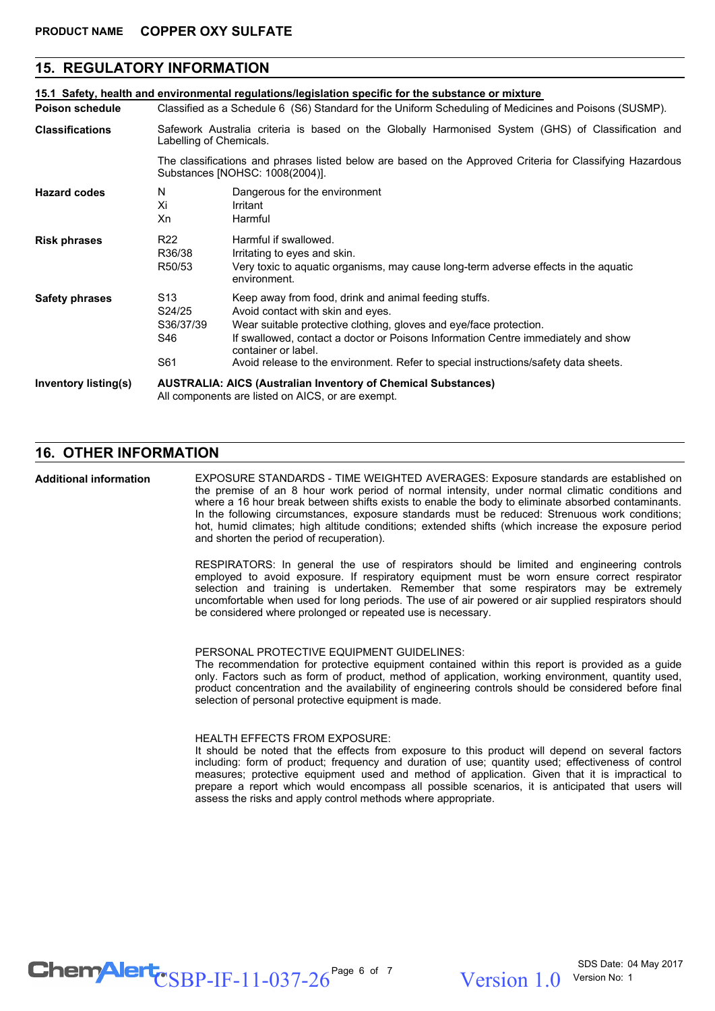#### **15. REGULATORY INFORMATION**

|                             |                                                                                                                                              | 15.1 Safety, health and environmental regulations/legislation specific for the substance or mixture                                                                                                                                                                                                                                                                 |  |  |  |
|-----------------------------|----------------------------------------------------------------------------------------------------------------------------------------------|---------------------------------------------------------------------------------------------------------------------------------------------------------------------------------------------------------------------------------------------------------------------------------------------------------------------------------------------------------------------|--|--|--|
| <b>Poison schedule</b>      | Classified as a Schedule 6 (S6) Standard for the Uniform Scheduling of Medicines and Poisons (SUSMP).                                        |                                                                                                                                                                                                                                                                                                                                                                     |  |  |  |
| <b>Classifications</b>      | Safework Australia criteria is based on the Globally Harmonised System (GHS) of Classification and<br>Labelling of Chemicals.                |                                                                                                                                                                                                                                                                                                                                                                     |  |  |  |
|                             | The classifications and phrases listed below are based on the Approved Criteria for Classifying Hazardous<br>Substances [NOHSC: 1008(2004)]. |                                                                                                                                                                                                                                                                                                                                                                     |  |  |  |
| <b>Hazard codes</b>         | N<br>Xi<br>Xn                                                                                                                                | Dangerous for the environment<br>Irritant<br>Harmful                                                                                                                                                                                                                                                                                                                |  |  |  |
| <b>Risk phrases</b>         | R <sub>22</sub><br>R36/38<br>R50/53                                                                                                          | Harmful if swallowed.<br>Irritating to eyes and skin.<br>Very toxic to aquatic organisms, may cause long-term adverse effects in the aquatic<br>environment.                                                                                                                                                                                                        |  |  |  |
| <b>Safety phrases</b>       | S <sub>13</sub><br>S24/25<br>S36/37/39<br>S46<br>S61                                                                                         | Keep away from food, drink and animal feeding stuffs.<br>Avoid contact with skin and eyes.<br>Wear suitable protective clothing, gloves and eye/face protection.<br>If swallowed, contact a doctor or Poisons Information Centre immediately and show<br>container or label.<br>Avoid release to the environment. Refer to special instructions/safety data sheets. |  |  |  |
| <b>Inventory listing(s)</b> | <b>AUSTRALIA: AICS (Australian Inventory of Chemical Substances)</b><br>All components are listed on AICS, or are exempt.                    |                                                                                                                                                                                                                                                                                                                                                                     |  |  |  |

## **16. OTHER INFORMATION**

**Additional information**

EXPOSURE STANDARDS - TIME WEIGHTED AVERAGES: Exposure standards are established on the premise of an 8 hour work period of normal intensity, under normal climatic conditions and where a 16 hour break between shifts exists to enable the body to eliminate absorbed contaminants. In the following circumstances, exposure standards must be reduced: Strenuous work conditions; hot, humid climates; high altitude conditions; extended shifts (which increase the exposure period and shorten the period of recuperation).

RESPIRATORS: In general the use of respirators should be limited and engineering controls employed to avoid exposure. If respiratory equipment must be worn ensure correct respirator selection and training is undertaken. Remember that some respirators may be extremely uncomfortable when used for long periods. The use of air powered or air supplied respirators should be considered where prolonged or repeated use is necessary.

#### PERSONAL PROTECTIVE EQUIPMENT GUIDELINES:

The recommendation for protective equipment contained within this report is provided as a guide only. Factors such as form of product, method of application, working environment, quantity used, product concentration and the availability of engineering controls should be considered before final selection of personal protective equipment is made.

#### HEALTH EFFECTS FROM EXPOSURE:

It should be noted that the effects from exposure to this product will depend on several factors including: form of product; frequency and duration of use; quantity used; effectiveness of control measures; protective equipment used and method of application. Given that it is impractical to prepare a report which would encompass all possible scenarios, it is anticipated that users will assess the risks and apply control methods where appropriate.

 $\text{CSBP-IF-11-037-26}^{\text{Page 6 of 7}}$  Version 1.0

Version 1 0 Version No: 1